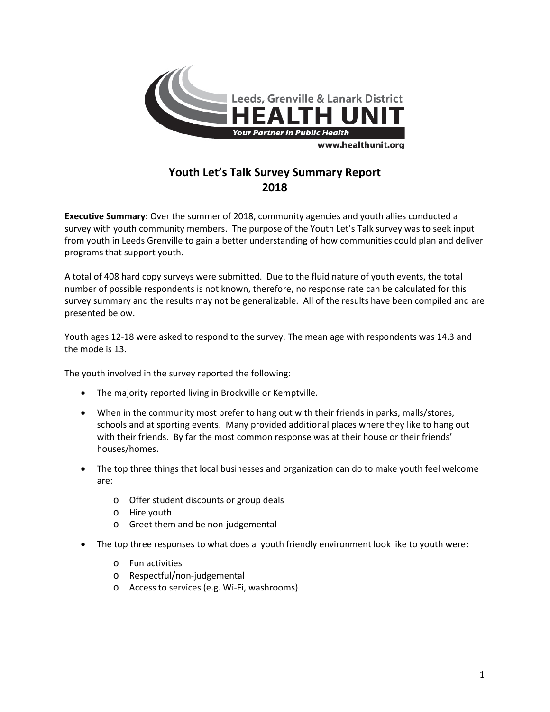

## **Youth Let's Talk Survey Summary Report 2018**

**Executive Summary:** Over the summer of 2018, community agencies and youth allies conducted a survey with youth community members. The purpose of the Youth Let's Talk survey was to seek input from youth in Leeds Grenville to gain a better understanding of how communities could plan and deliver programs that support youth.

A total of 408 hard copy surveys were submitted. Due to the fluid nature of youth events, the total number of possible respondents is not known, therefore, no response rate can be calculated for this survey summary and the results may not be generalizable. All of the results have been compiled and are presented below.

Youth ages 12-18 were asked to respond to the survey. The mean age with respondents was 14.3 and the mode is 13.

The youth involved in the survey reported the following:

- The majority reported living in Brockville or Kemptville.
- When in the community most prefer to hang out with their friends in parks, malls/stores, schools and at sporting events. Many provided additional places where they like to hang out with their friends. By far the most common response was at their house or their friends' houses/homes.
- The top three things that local businesses and organization can do to make youth feel welcome are:
	- o Offer student discounts or group deals
	- o Hire youth
	- o Greet them and be non-judgemental
- The top three responses to what does a youth friendly environment look like to youth were:
	- o Fun activities
	- o Respectful/non-judgemental
	- o Access to services (e.g. Wi-Fi, washrooms)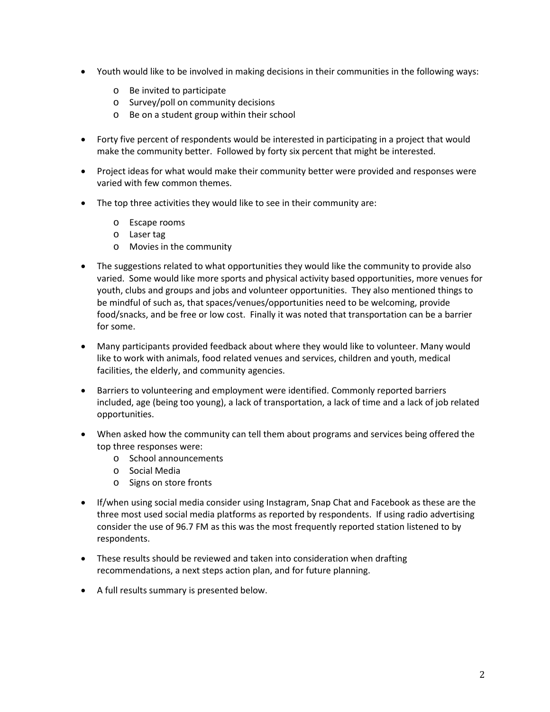- Youth would like to be involved in making decisions in their communities in the following ways:
	- o Be invited to participate
	- o Survey/poll on community decisions
	- o Be on a student group within their school
- Forty five percent of respondents would be interested in participating in a project that would make the community better. Followed by forty six percent that might be interested.
- Project ideas for what would make their community better were provided and responses were varied with few common themes.
- The top three activities they would like to see in their community are:
	- o Escape rooms
	- o Laser tag
	- o Movies in the community
- The suggestions related to what opportunities they would like the community to provide also varied. Some would like more sports and physical activity based opportunities, more venues for youth, clubs and groups and jobs and volunteer opportunities. They also mentioned things to be mindful of such as, that spaces/venues/opportunities need to be welcoming, provide food/snacks, and be free or low cost. Finally it was noted that transportation can be a barrier for some.
- Many participants provided feedback about where they would like to volunteer. Many would like to work with animals, food related venues and services, children and youth, medical facilities, the elderly, and community agencies.
- Barriers to volunteering and employment were identified. Commonly reported barriers included, age (being too young), a lack of transportation, a lack of time and a lack of job related opportunities.
- When asked how the community can tell them about programs and services being offered the top three responses were:
	- o School announcements
	- o Social Media
	- o Signs on store fronts
- If/when using social media consider using Instagram, Snap Chat and Facebook as these are the three most used social media platforms as reported by respondents. If using radio advertising consider the use of 96.7 FM as this was the most frequently reported station listened to by respondents.
- These results should be reviewed and taken into consideration when drafting recommendations, a next steps action plan, and for future planning.
- A full results summary is presented below.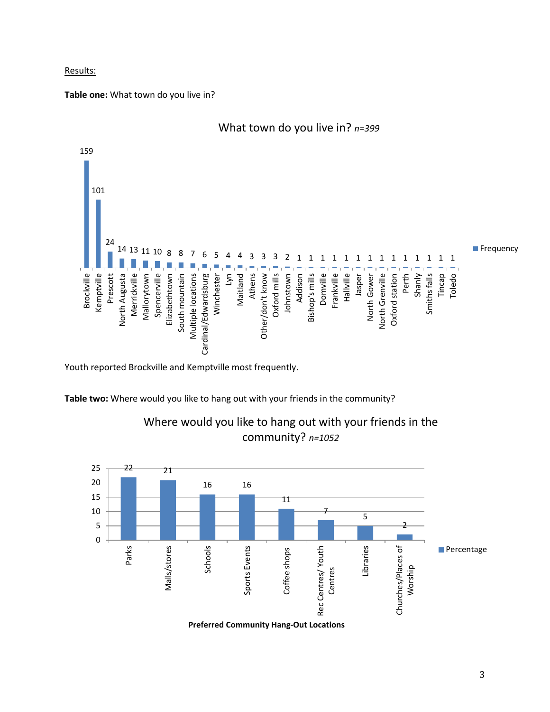#### Results:

#### **Table one:** What town do you live in?



What town do you live in? *n=399*

Youth reported Brockville and Kemptville most frequently.

**Table two:** Where would you like to hang out with your friends in the community?



Where would you like to hang out with your friends in the community? *n=1052*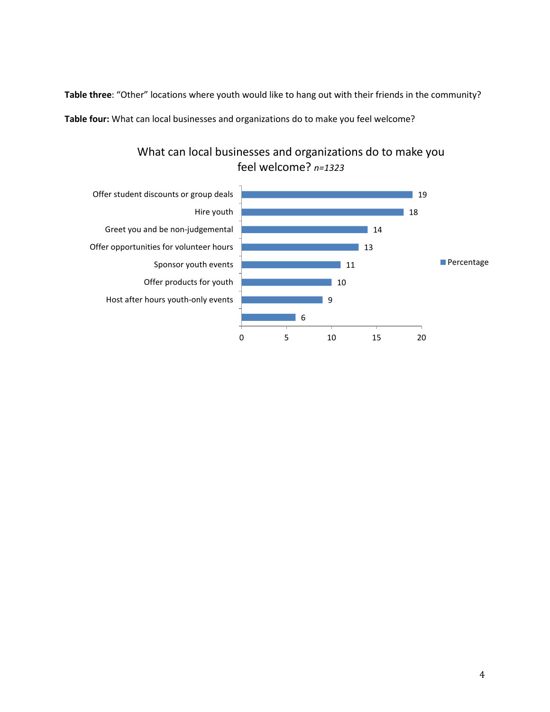**Table three**: "Other" locations where youth would like to hang out with their friends in the community? **Table four:** What can local businesses and organizations do to make you feel welcome?

> What can local businesses and organizations do to make you feel welcome? *n=1323*

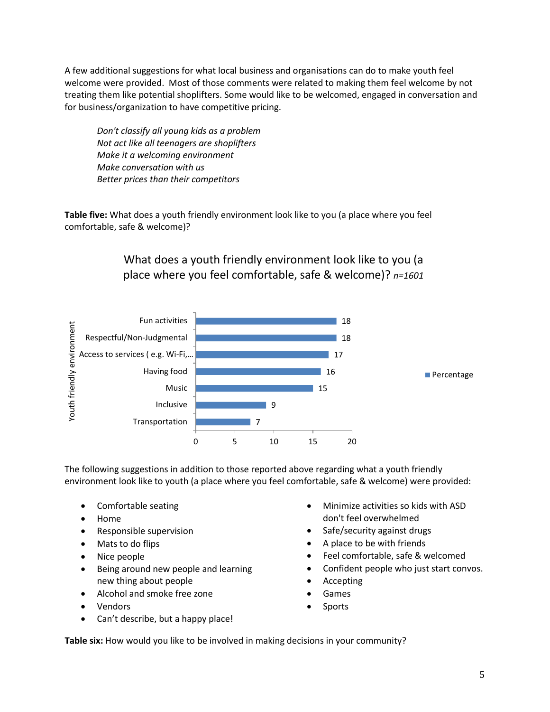A few additional suggestions for what local business and organisations can do to make youth feel welcome were provided. Most of those comments were related to making them feel welcome by not treating them like potential shoplifters. Some would like to be welcomed, engaged in conversation and for business/organization to have competitive pricing.

*Don't classify all young kids as a problem Not act like all teenagers are shoplifters Make it a welcoming environment Make conversation with us Better prices than their competitors*

**Table five:** What does a youth friendly environment look like to you (a place where you feel comfortable, safe & welcome)?

## What does a youth friendly environment look like to you (a place where you feel comfortable, safe & welcome)? *n=1601*



The following suggestions in addition to those reported above regarding what a youth friendly environment look like to youth (a place where you feel comfortable, safe & welcome) were provided:

- Comfortable seating
- Home
- Responsible supervision
- Mats to do flips
- Nice people
- Being around new people and learning new thing about people
- Alcohol and smoke free zone
- Vendors
- Can't describe, but a happy place!
- Minimize activities so kids with ASD don't feel overwhelmed
- Safe/security against drugs
- A place to be with friends
- Feel comfortable, safe & welcomed
- Confident people who just start convos.
- Accepting
- **Games**
- **Sports**

**Table six:** How would you like to be involved in making decisions in your community?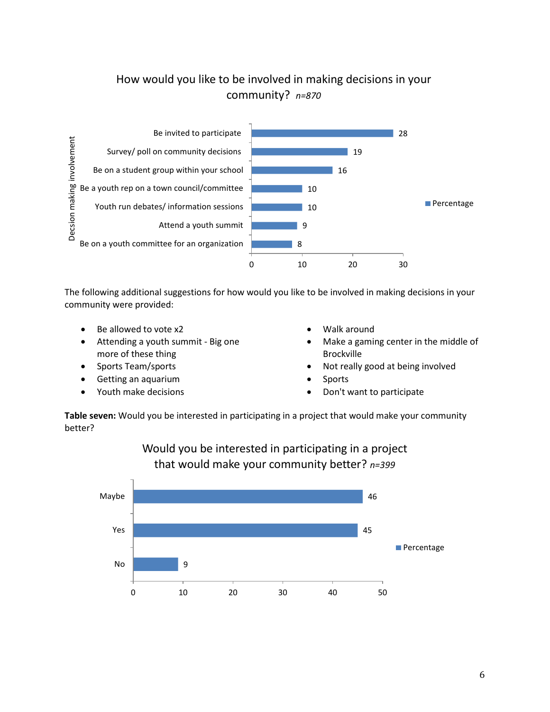# How would you like to be involved in making decisions in your community? *n=870*



The following additional suggestions for how would you like to be involved in making decisions in your community were provided:

- Be allowed to vote x2
- Attending a youth summit Big one more of these thing
- Sports Team/sports
- Getting an aquarium
- Youth make decisions
- Walk around
- Make a gaming center in the middle of Brockville
- Not really good at being involved
- **Sports**
- Don't want to participate

**Table seven:** Would you be interested in participating in a project that would make your community better?



## Would you be interested in participating in a project that would make your community better? *n=399*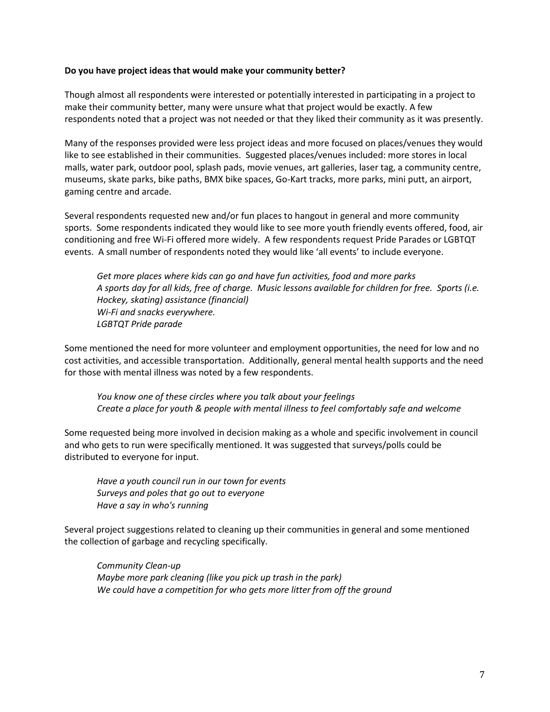#### **Do you have project ideas that would make your community better?**

Though almost all respondents were interested or potentially interested in participating in a project to make their community better, many were unsure what that project would be exactly. A few respondents noted that a project was not needed or that they liked their community as it was presently.

Many of the responses provided were less project ideas and more focused on places/venues they would like to see established in their communities. Suggested places/venues included: more stores in local malls, water park, outdoor pool, splash pads, movie venues, art galleries, laser tag, a community centre, museums, skate parks, bike paths, BMX bike spaces, Go-Kart tracks, more parks, mini putt, an airport, gaming centre and arcade.

Several respondents requested new and/or fun places to hangout in general and more community sports. Some respondents indicated they would like to see more youth friendly events offered, food, air conditioning and free Wi-Fi offered more widely. A few respondents request Pride Parades or LGBTQT events. A small number of respondents noted they would like 'all events' to include everyone.

*Get more places where kids can go and have fun activities, food and more parks A sports day for all kids, free of charge. Music lessons available for children for free. Sports (i.e. Hockey, skating) assistance (financial) Wi-Fi and snacks everywhere. LGBTQT Pride parade*

Some mentioned the need for more volunteer and employment opportunities, the need for low and no cost activities, and accessible transportation. Additionally, general mental health supports and the need for those with mental illness was noted by a few respondents.

*You know one of these circles where you talk about your feelings Create a place for youth & people with mental illness to feel comfortably safe and welcome*

Some requested being more involved in decision making as a whole and specific involvement in council and who gets to run were specifically mentioned. It was suggested that surveys/polls could be distributed to everyone for input.

*Have a youth council run in our town for events Surveys and poles that go out to everyone Have a say in who's running*

Several project suggestions related to cleaning up their communities in general and some mentioned the collection of garbage and recycling specifically.

*Community Clean-up Maybe more park cleaning (like you pick up trash in the park) We could have a competition for who gets more litter from off the ground*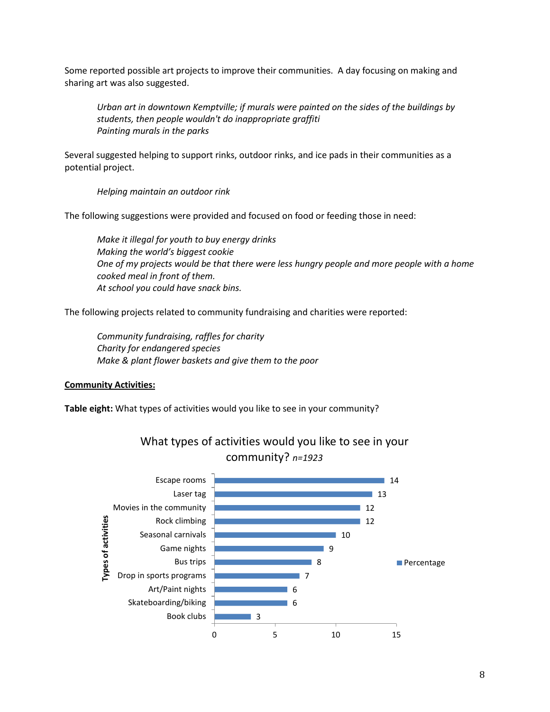Some reported possible art projects to improve their communities. A day focusing on making and sharing art was also suggested.

*Urban art in downtown Kemptville; if murals were painted on the sides of the buildings by students, then people wouldn't do inappropriate graffiti Painting murals in the parks*

Several suggested helping to support rinks, outdoor rinks, and ice pads in their communities as a potential project.

*Helping maintain an outdoor rink*

The following suggestions were provided and focused on food or feeding those in need:

*Make it illegal for youth to buy energy drinks Making the world's biggest cookie One of my projects would be that there were less hungry people and more people with a home cooked meal in front of them. At school you could have snack bins.*

The following projects related to community fundraising and charities were reported:

*Community fundraising, raffles for charity Charity for endangered species Make & plant flower baskets and give them to the poor*

#### **Community Activities:**

**Table eight:** What types of activities would you like to see in your community?



### What types of activities would you like to see in your community? *n=1923*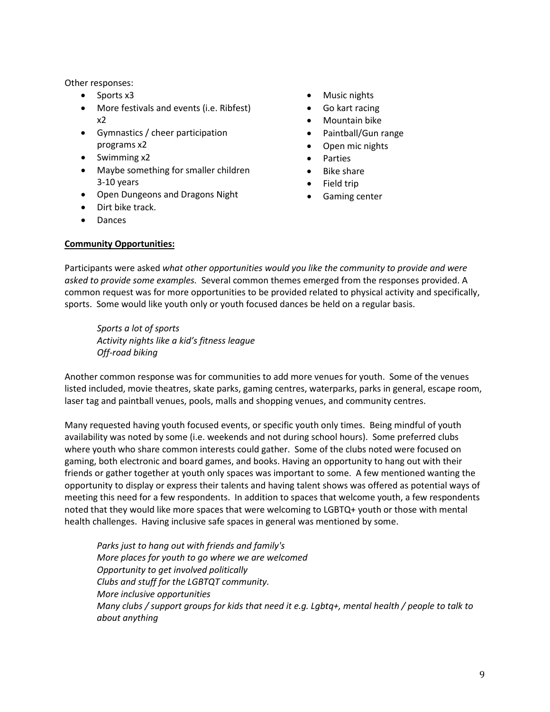Other responses:

- Sports x3
- More festivals and events (i.e. Ribfest) x2
- Gymnastics / cheer participation programs x2
- Swimming x2
- Maybe something for smaller children 3-10 years
- Open Dungeons and Dragons Night
- Dirt bike track.
- Dances
- Music nights
- Go kart racing
- Mountain bike
- Paintball/Gun range
- Open mic nights
- Parties
- Bike share
- Field trip
- Gaming center

#### **Community Opportunities:**

Participants were asked *what other opportunities would you like the community to provide and were asked to provide some examples.* Several common themes emerged from the responses provided. A common request was for more opportunities to be provided related to physical activity and specifically, sports. Some would like youth only or youth focused dances be held on a regular basis.

*Sports a lot of sports Activity nights like a kid's fitness league Off-road biking*

Another common response was for communities to add more venues for youth. Some of the venues listed included, movie theatres, skate parks, gaming centres, waterparks, parks in general, escape room, laser tag and paintball venues, pools, malls and shopping venues, and community centres.

Many requested having youth focused events, or specific youth only times. Being mindful of youth availability was noted by some (i.e. weekends and not during school hours). Some preferred clubs where youth who share common interests could gather. Some of the clubs noted were focused on gaming, both electronic and board games, and books. Having an opportunity to hang out with their friends or gather together at youth only spaces was important to some. A few mentioned wanting the opportunity to display or express their talents and having talent shows was offered as potential ways of meeting this need for a few respondents. In addition to spaces that welcome youth, a few respondents noted that they would like more spaces that were welcoming to LGBTQ+ youth or those with mental health challenges. Having inclusive safe spaces in general was mentioned by some.

*Parks just to hang out with friends and family's More places for youth to go where we are welcomed Opportunity to get involved politically Clubs and stuff for the LGBTQT community. More inclusive opportunities Many clubs / support groups for kids that need it e.g. Lgbtq+, mental health / people to talk to about anything*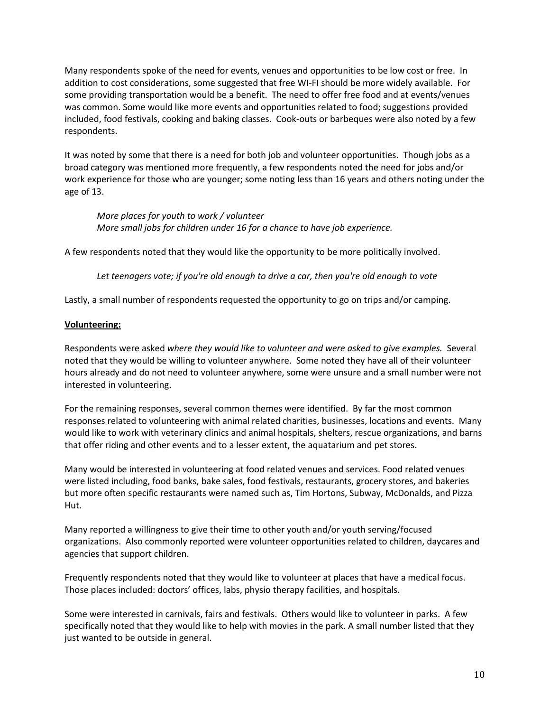Many respondents spoke of the need for events, venues and opportunities to be low cost or free. In addition to cost considerations, some suggested that free WI-FI should be more widely available. For some providing transportation would be a benefit. The need to offer free food and at events/venues was common. Some would like more events and opportunities related to food; suggestions provided included, food festivals, cooking and baking classes. Cook-outs or barbeques were also noted by a few respondents.

It was noted by some that there is a need for both job and volunteer opportunities. Though jobs as a broad category was mentioned more frequently, a few respondents noted the need for jobs and/or work experience for those who are younger; some noting less than 16 years and others noting under the age of 13.

*More places for youth to work / volunteer More small jobs for children under 16 for a chance to have job experience.*

A few respondents noted that they would like the opportunity to be more politically involved.

*Let teenagers vote; if you're old enough to drive a car, then you're old enough to vote*

Lastly, a small number of respondents requested the opportunity to go on trips and/or camping.

#### **Volunteering:**

Respondents were asked *where they would like to volunteer and were asked to give examples.* Several noted that they would be willing to volunteer anywhere. Some noted they have all of their volunteer hours already and do not need to volunteer anywhere, some were unsure and a small number were not interested in volunteering.

For the remaining responses, several common themes were identified. By far the most common responses related to volunteering with animal related charities, businesses, locations and events. Many would like to work with veterinary clinics and animal hospitals, shelters, rescue organizations, and barns that offer riding and other events and to a lesser extent, the aquatarium and pet stores.

Many would be interested in volunteering at food related venues and services. Food related venues were listed including, food banks, bake sales, food festivals, restaurants, grocery stores, and bakeries but more often specific restaurants were named such as, Tim Hortons, Subway, McDonalds, and Pizza Hut.

Many reported a willingness to give their time to other youth and/or youth serving/focused organizations. Also commonly reported were volunteer opportunities related to children, daycares and agencies that support children.

Frequently respondents noted that they would like to volunteer at places that have a medical focus. Those places included: doctors' offices, labs, physio therapy facilities, and hospitals.

Some were interested in carnivals, fairs and festivals. Others would like to volunteer in parks. A few specifically noted that they would like to help with movies in the park. A small number listed that they just wanted to be outside in general.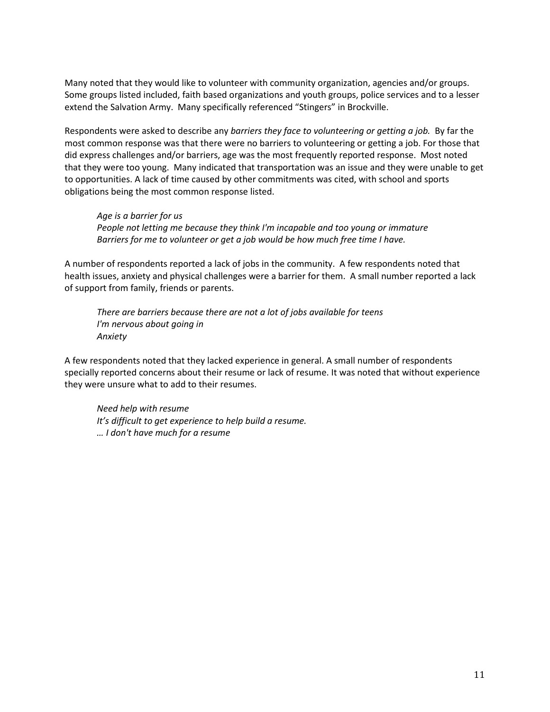Many noted that they would like to volunteer with community organization, agencies and/or groups. Some groups listed included, faith based organizations and youth groups, police services and to a lesser extend the Salvation Army. Many specifically referenced "Stingers" in Brockville.

Respondents were asked to describe any *barriers they face to volunteering or getting a job.* By far the most common response was that there were no barriers to volunteering or getting a job. For those that did express challenges and/or barriers, age was the most frequently reported response. Most noted that they were too young. Many indicated that transportation was an issue and they were unable to get to opportunities. A lack of time caused by other commitments was cited, with school and sports obligations being the most common response listed.

*Age is a barrier for us People not letting me because they think I'm incapable and too young or immature Barriers for me to volunteer or get a job would be how much free time I have.*

A number of respondents reported a lack of jobs in the community. A few respondents noted that health issues, anxiety and physical challenges were a barrier for them. A small number reported a lack of support from family, friends or parents.

*There are barriers because there are not a lot of jobs available for teens I'm nervous about going in Anxiety*

A few respondents noted that they lacked experience in general. A small number of respondents specially reported concerns about their resume or lack of resume. It was noted that without experience they were unsure what to add to their resumes.

*Need help with resume It's difficult to get experience to help build a resume. … I don't have much for a resume*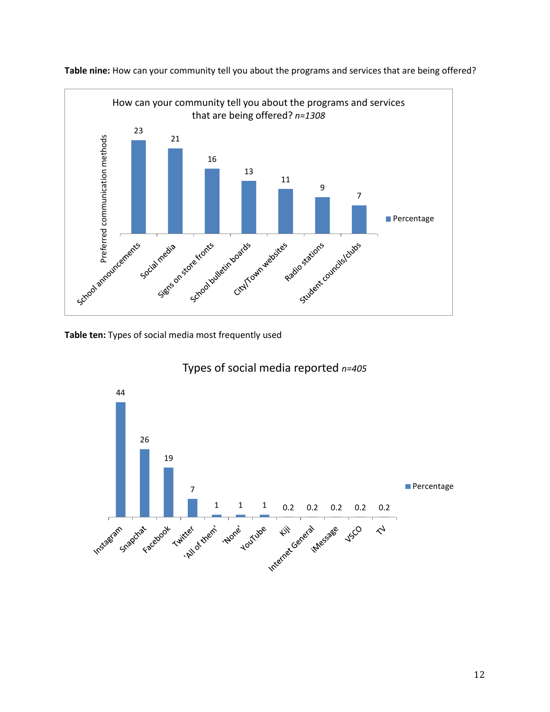

**Table nine:** How can your community tell you about the programs and services that are being offered?

**Table ten:** Types of social media most frequently used



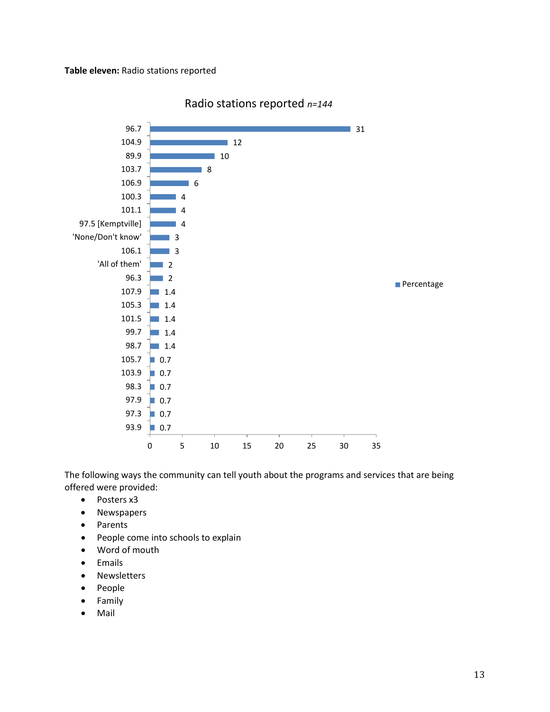

Radio stations reported *n=144*

The following ways the community can tell youth about the programs and services that are being offered were provided:

- Posters x3
- Newspapers
- Parents
- People come into schools to explain
- Word of mouth
- Emails
- Newsletters
- People
- Family
- Mail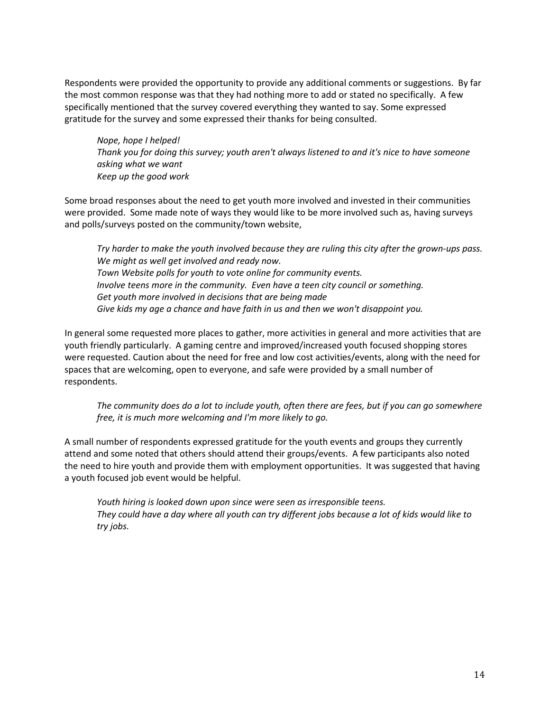Respondents were provided the opportunity to provide any additional comments or suggestions. By far the most common response was that they had nothing more to add or stated no specifically. A few specifically mentioned that the survey covered everything they wanted to say. Some expressed gratitude for the survey and some expressed their thanks for being consulted.

*Nope, hope I helped! Thank you for doing this survey; youth aren't always listened to and it's nice to have someone asking what we want Keep up the good work*

Some broad responses about the need to get youth more involved and invested in their communities were provided. Some made note of ways they would like to be more involved such as, having surveys and polls/surveys posted on the community/town website,

*Try harder to make the youth involved because they are ruling this city after the grown-ups pass. We might as well get involved and ready now. Town Website polls for youth to vote online for community events. Involve teens more in the community. Even have a teen city council or something. Get youth more involved in decisions that are being made Give kids my age a chance and have faith in us and then we won't disappoint you.*

In general some requested more places to gather, more activities in general and more activities that are youth friendly particularly. A gaming centre and improved/increased youth focused shopping stores were requested. Caution about the need for free and low cost activities/events, along with the need for spaces that are welcoming, open to everyone, and safe were provided by a small number of respondents.

*The community does do a lot to include youth, often there are fees, but if you can go somewhere free, it is much more welcoming and I'm more likely to go.*

A small number of respondents expressed gratitude for the youth events and groups they currently attend and some noted that others should attend their groups/events. A few participants also noted the need to hire youth and provide them with employment opportunities. It was suggested that having a youth focused job event would be helpful.

*Youth hiring is looked down upon since were seen as irresponsible teens. They could have a day where all youth can try different jobs because a lot of kids would like to try jobs.*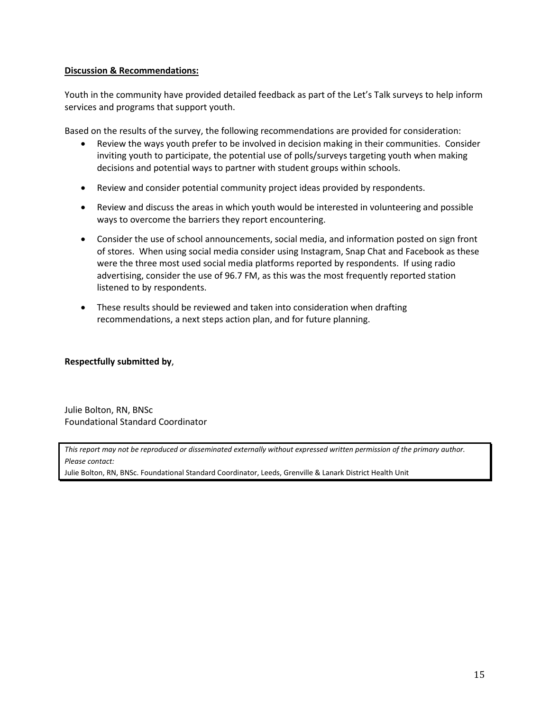#### **Discussion & Recommendations:**

Youth in the community have provided detailed feedback as part of the Let's Talk surveys to help inform services and programs that support youth.

Based on the results of the survey, the following recommendations are provided for consideration:

- Review the ways youth prefer to be involved in decision making in their communities. Consider inviting youth to participate, the potential use of polls/surveys targeting youth when making decisions and potential ways to partner with student groups within schools.
- Review and consider potential community project ideas provided by respondents.
- Review and discuss the areas in which youth would be interested in volunteering and possible ways to overcome the barriers they report encountering.
- Consider the use of school announcements, social media, and information posted on sign front of stores. When using social media consider using Instagram, Snap Chat and Facebook as these were the three most used social media platforms reported by respondents. If using radio advertising, consider the use of 96.7 FM, as this was the most frequently reported station listened to by respondents.
- These results should be reviewed and taken into consideration when drafting recommendations, a next steps action plan, and for future planning.

#### **Respectfully submitted by**,

Julie Bolton, RN, BNSc Foundational Standard Coordinator

*This report may not be reproduced or disseminated externally without expressed written permission of the primary author. Please contact:*

Julie Bolton, RN, BNSc. Foundational Standard Coordinator, Leeds, Grenville & Lanark District Health Unit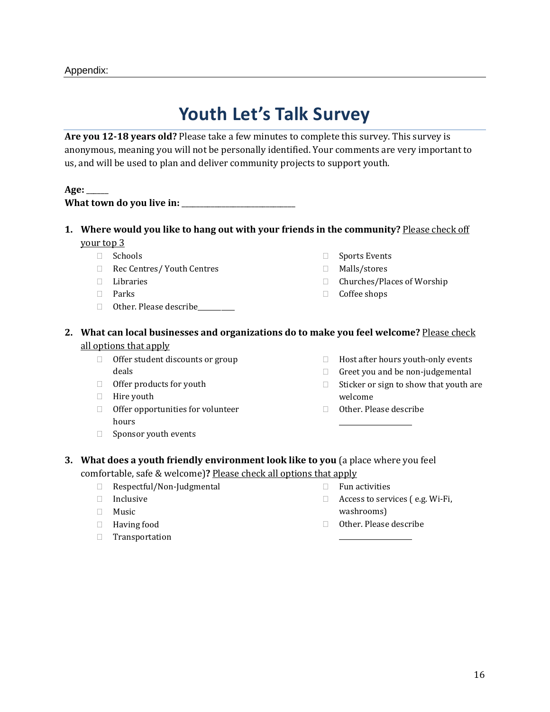# **Youth Let's Talk Survey**

**Are you 12-18 years old?** Please take a few minutes to complete this survey. This survey is anonymous, meaning you will not be personally identified. Your comments are very important to us, and will be used to plan and deliver community projects to support youth.

#### **Age:** \_\_\_\_\_\_

| What town do you live in: |  |
|---------------------------|--|
|---------------------------|--|

- **1. Where would you like to hang out with your friends in the community?** Please check off your top 3
	- □ Schools
	- Rec Centres/ Youth Centres
	- Libraries
	- Parks
	- □ Other. Please describe\_\_\_\_\_\_\_\_\_
- □ Sports Events
- Malls/stores
- □ Churches/Places of Worship
- □ Coffee shops
- **2. What can local businesses and organizations do to make you feel welcome?** Please check all options that apply
	- □ Offer student discounts or group deals
	- $\Box$  Offer products for youth
	- $\Box$  Hire youth
	- $\Box$  Offer opportunities for volunteer hours
	- $\Box$  Sponsor youth events
- $\Box$  Host after hours youth-only events
- $\Box$  Greet you and be non-judgemental
- $\Box$  Sticker or sign to show that youth are welcome
- □ Other. Please describe \_\_\_\_\_\_\_\_\_\_\_\_\_\_\_\_\_\_\_\_\_\_
- **3. What does a youth friendly environment look like to you** (a place where you feel comfortable, safe & welcome)**?** Please check all options that apply
	- □ Respectful/Non-Judgmental
	- Inclusive
	- Music
	- Having food
	- Transportation
- $\Box$  Fun activities
- □ Access to services (e.g. Wi-Fi, washrooms)
- Other. Please describe \_\_\_\_\_\_\_\_\_\_\_\_\_\_\_\_\_\_\_\_\_\_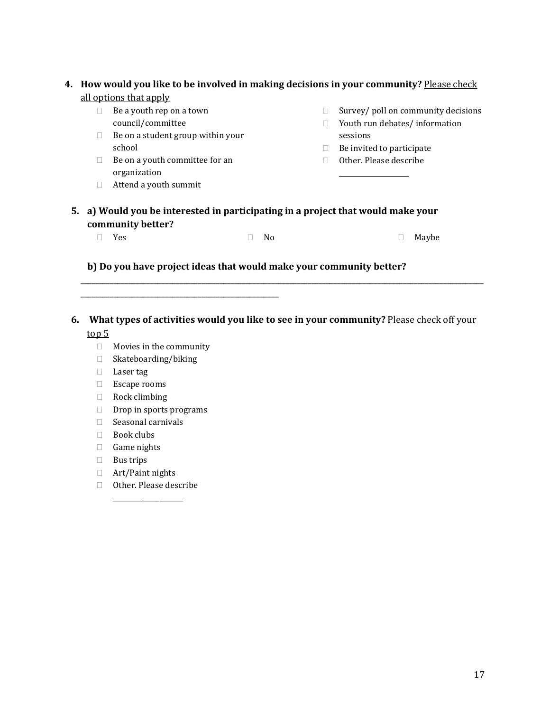### **4. How would you like to be involved in making decisions in your community?** Please check all options that apply

- $\Box$  Be a youth rep on a town council/committee
- $\Box$  Be on a student group within your school
- $\Box$  Be on a youth committee for an organization
- Attend a youth summit
- $\Box$  Survey/ poll on community decisions
- □ Youth run debates/ information sessions
- $\Box$  Be invited to participate
- Other. Please describe \_\_\_\_\_\_\_\_\_\_\_\_\_\_\_\_\_\_\_\_\_
- **5. a) Would you be interested in participating in a project that would make your community better?**

| $\Box$ Yes<br>□ Maybe<br>$\Box$ No |
|------------------------------------|
|------------------------------------|

#### **b) Do you have project ideas that would make your community better?**

**6. What types of activities would you like to see in your community?** Please check off your top 5

\_\_\_\_\_\_\_\_\_\_\_\_\_\_\_\_\_\_\_\_\_\_\_\_\_\_\_\_\_\_\_\_\_\_\_\_\_\_\_\_\_\_\_\_\_\_\_\_\_\_\_\_\_\_\_\_\_\_\_\_\_\_\_\_\_\_\_\_\_\_\_\_\_\_\_\_\_\_\_\_\_\_\_\_\_\_\_\_\_\_\_\_\_\_\_\_\_\_\_\_\_\_\_\_\_\_\_\_\_\_

Movies in the community

\_\_\_\_\_\_\_\_\_\_\_\_\_\_\_\_\_\_\_\_\_\_\_\_\_\_\_\_\_\_\_\_\_\_\_\_\_\_\_\_\_\_\_\_\_\_\_\_\_\_\_\_\_\_

- □ Skateboarding/biking
- Laser tag
- Escape rooms
- Rock climbing
- $\Box$  Drop in sports programs
- $\Box$  Seasonal carnivals
- $\Box$  Book clubs
- Game nights
- $\Box$  Bus trips
- Art/Paint nights
- Other. Please describe \_\_\_\_\_\_\_\_\_\_\_\_\_\_\_\_\_\_\_\_\_